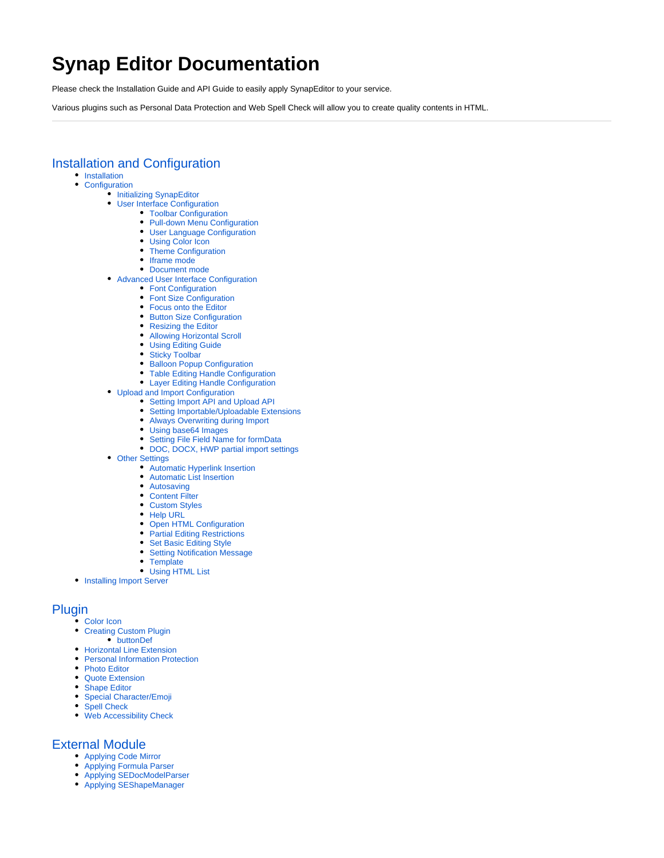# **Synap Editor Documentation**

Please check the Installation Guide and API Guide to easily apply SynapEditor to your service.

Various plugins such as Personal Data Protection and Web Spell Check will allow you to create quality contents in HTML.

# [Installation and Configuration](https://synapeditor.com/docs/display/SEDOC/Installation+and+Configuration)

- [Installation](https://synapeditor.com/docs/display/SEDOC/Installation) • [Configuration](https://synapeditor.com/docs/display/SEDOC/Configuration)
	- [Initializing SynapEditor](https://synapeditor.com/docs/display/SEDOC/Initializing+SynapEditor)
		- [User Interface Configuration](https://synapeditor.com/docs/display/SEDOC/User+Interface+Configuration)
			- [Toolbar Configuration](https://synapeditor.com/docs/display/SEDOC/Toolbar+Configuration)
				- [Pull-down Menu Configuration](https://synapeditor.com/docs/display/SEDOC/Pull-down+Menu+Configuration)
				- [User Language Configuration](https://synapeditor.com/docs/display/SEDOC/User+Language+Configuration)
				-
				- [Using Color Icon](https://synapeditor.com/docs/display/SEDOC/Using+Color+Icon)
				- [Theme Configuration](https://synapeditor.com/docs/display/SEDOC/Theme+Configuration) • [Iframe mode](https://synapeditor.com/docs/display/SEDOC/Iframe+mode)
				-
				- [Document mode](https://synapeditor.com/docs/display/SEDOC/Document+mode)
	- [Advanced User Interface Configuration](https://synapeditor.com/docs/display/SEDOC/Advanced+User+Interface+Configuration)
		- [Font Configuration](https://synapeditor.com/docs/display/SEDOC/Font+Configuration)
		- [Font Size Configuration](https://synapeditor.com/docs/display/SEDOC/Font+Size++Configuration)
		- [Focus onto the Editor](https://synapeditor.com/docs/display/SEDOC/Focus+onto+the+Editor)
		- [Button Size Configuration](https://synapeditor.com/docs/display/SEDOC/Button+Size+Configuration)
		- [Resizing the Editor](https://synapeditor.com/docs/display/SEDOC/Resizing+the+Editor)
		- [Allowing Horizontal Scroll](https://synapeditor.com/docs/display/SEDOC/Allowing+Horizontal+Scroll)
		- [Using Editing Guide](https://synapeditor.com/docs/display/SEDOC/Using+Editing+Guide)
		- [Sticky Toolbar](https://synapeditor.com/docs/display/SEDOC/Sticky+Toolbar)
		- [Balloon Popup Configuration](https://synapeditor.com/docs/display/SEDOC/Balloon+Popup+Configuration)
		- [Table Editing Handle Configuration](https://synapeditor.com/docs/display/SEDOC/Table+Editing+Handle+Configuration)
		- [Layer Editing Handle Configuration](https://synapeditor.com/docs/display/SEDOC/Layer+Editing+Handle+Configuration)
	- [Upload and Import Configuration](https://synapeditor.com/docs/display/SEDOC/Upload+and+Import+Configuration)
		- [Setting Import API and Upload API](https://synapeditor.com/docs/display/SEDOC/Setting+Import+API+and+Upload+API)
		- [Setting Importable/Uploadable Extensions](https://synapeditor.com/docs/pages/viewpage.action?pageId=10814206)
		- [Always Overwriting during Import](https://synapeditor.com/docs/display/SEDOC/Always+Overwriting+during+Import)
		- [Using base64 Images](https://synapeditor.com/docs/display/SEDOC/Using+base64+Images)
		- [Setting File Field Name for formData](https://synapeditor.com/docs/display/SEDOC/Setting+File+Field+Name+for+formData)
		- [DOC, DOCX, HWP partial import settings](https://synapeditor.com/docs/display/SEDOC/DOC%2C+DOCX%2C+HWP+partial+import+settings)
	- [Other Settings](https://synapeditor.com/docs/display/SEDOC/Other+Settings)
		- [Automatic Hyperlink Insertion](https://synapeditor.com/docs/display/SEDOC/Automatic+Hyperlink+Insertion)
		- [Automatic List Insertion](https://synapeditor.com/docs/display/SEDOC/Automatic+List+Insertion)
		- [Autosaving](https://synapeditor.com/docs/display/SEDOC/Autosaving)
		- [Content Filter](https://synapeditor.com/docs/display/SEDOC/Content+Filter)
		- [Custom Styles](https://synapeditor.com/docs/display/SEDOC/Custom+Styles)
		- [Help URL](https://synapeditor.com/docs/display/SEDOC/Help+URL)
		- **[Open HTML Configuration](https://synapeditor.com/docs/display/SEDOC/Open+HTML+Configuration)**
		- [Partial Editing Restrictions](https://synapeditor.com/docs/display/SEDOC/Partial+Editing+Restrictions)
		- [Set Basic Editing Style](https://synapeditor.com/docs/display/SEDOC/Set+Basic+Editing+Style)
		- $\bullet$ [Setting Notification Message](https://synapeditor.com/docs/display/SEDOC/Setting+Notification+Message)
		- **[Template](https://synapeditor.com/docs/display/SEDOC/Template)**
		- [Using HTML List](https://synapeditor.com/docs/display/SEDOC/Using+HTML+List)
- **[Installing Import Server](https://synapeditor.com/docs/display/SEDOC/Installing+Import+Server)**

## [Plugin](https://synapeditor.com/docs/display/SEDOC/Plugin)

- [Color Icon](https://synapeditor.com/docs/display/SEDOC/Color+Icon)
	- [Creating Custom Plugin](https://synapeditor.com/docs/display/SEDOC/Creating+Custom+Plugin)
		- [buttonDef](https://synapeditor.com/docs/display/SEDOC/buttonDef)
	- [Horizontal Line Extension](https://synapeditor.com/docs/display/SEDOC/Horizontal+Line+Extension)
	- **[Personal Information Protection](https://synapeditor.com/docs/display/SEDOC/Personal+Information+Protection)**
	- [Photo Editor](https://synapeditor.com/docs/display/SEDOC/Photo+Editor)
	- [Quote Extension](https://synapeditor.com/docs/display/SEDOC/Quote+Extension)
	- [Shape Editor](https://synapeditor.com/docs/display/SEDOC/Shape+Editor)  $\bullet$
	- [Special Character/Emoji](https://synapeditor.com/docs/pages/viewpage.action?pageId=10814225)
	- [Spell Check](https://synapeditor.com/docs/display/SEDOC/Spell+Check)
	- [Web Accessibility Check](https://synapeditor.com/docs/display/SEDOC/Web+Accessibility+Check)

## [External Module](https://synapeditor.com/docs/display/SEDOC/External+Module)

- [Applying Code Mirror](https://synapeditor.com/docs/display/SEDOC/Applying+Code+Mirror)
- [Applying Formula Parser](https://synapeditor.com/docs/display/SEDOC/Applying+Formula+Parser)
- [Applying SEDocModelParser](https://synapeditor.com/docs/display/SEDOC/Applying+SEDocModelParser)
- [Applying SEShapeManager](https://synapeditor.com/docs/display/SEDOC/Applying+SEShapeManager)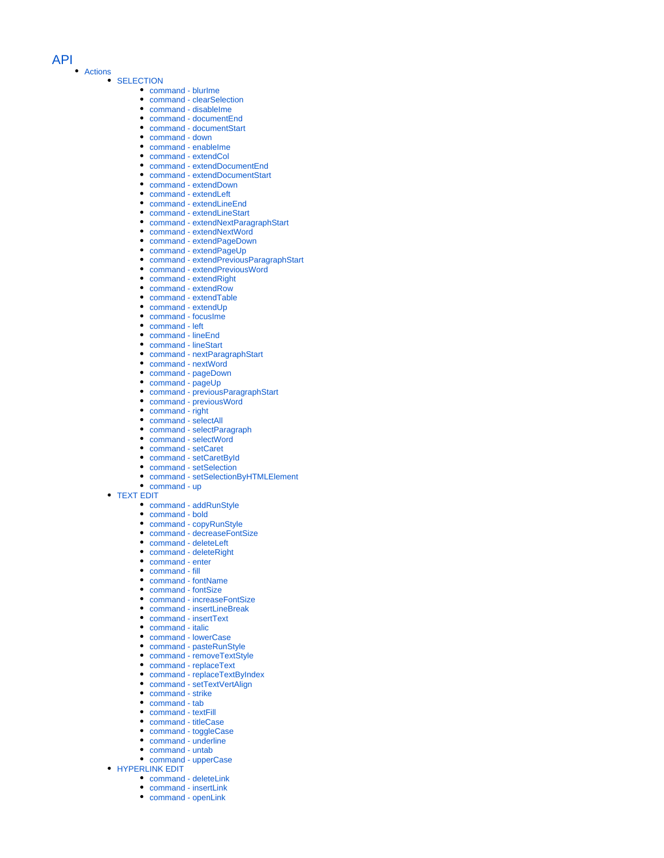#### [API](https://synapeditor.com/docs/display/SEDOC/API)

#### [Actions](https://synapeditor.com/docs/display/SEDOC/Actions)

#### **[SELECTION](https://synapeditor.com/docs/display/SEDOC/SELECTION)**

- [command blurIme](https://synapeditor.com/docs/display/SEDOC/command+-+blurIme)
- [command clearSelection](https://synapeditor.com/docs/display/SEDOC/command+-+clearSelection)
- [command disableIme](https://synapeditor.com/docs/display/SEDOC/command+-+disableIme)  $\bullet$
- [command documentEnd](https://synapeditor.com/docs/display/SEDOC/command+-+documentEnd)
- [command documentStart](https://synapeditor.com/docs/display/SEDOC/command+-+documentStart)
- [command down](https://synapeditor.com/docs/display/SEDOC/command+-+down)
- [command enableIme](https://synapeditor.com/docs/display/SEDOC/command+-+enableIme)
- $\bullet$ [command - extendCol](https://synapeditor.com/docs/display/SEDOC/command+-+extendCol)
- $\bullet$ [command - extendDocumentEnd](https://synapeditor.com/docs/display/SEDOC/command+-+extendDocumentEnd)  $\bullet$
- [command extendDocumentStart](https://synapeditor.com/docs/display/SEDOC/command+-+extendDocumentStart)  $\bullet$
- [command extendDown](https://synapeditor.com/docs/display/SEDOC/command+-+extendDown)  $\bullet$ [command - extendLeft](https://synapeditor.com/docs/display/SEDOC/command+-+extendLeft)
- $\blacksquare$ [command - extendLineEnd](https://synapeditor.com/docs/display/SEDOC/command+-+extendLineEnd)
- [command extendLineStart](https://synapeditor.com/docs/display/SEDOC/command+-+extendLineStart)
- [command extendNextParagraphStart](https://synapeditor.com/docs/display/SEDOC/command+-+extendNextParagraphStart)  $\bullet$
- $\bullet$ [command - extendNextWord](https://synapeditor.com/docs/display/SEDOC/command+-+extendNextWord)
- [command extendPageDown](https://synapeditor.com/docs/display/SEDOC/command+-+extendPageDown)  $\bullet$
- [command extendPageUp](https://synapeditor.com/docs/display/SEDOC/command+-+extendPageUp)
- $\bullet$ [command - extendPreviousParagraphStart](https://synapeditor.com/docs/display/SEDOC/command+-+extendPreviousParagraphStart)
- [command extendPreviousWord](https://synapeditor.com/docs/display/SEDOC/command+-+extendPreviousWord)  $\bullet$
- [command extendRight](https://synapeditor.com/docs/display/SEDOC/command+-+extendRight)
- $\bullet$ [command - extendRow](https://synapeditor.com/docs/display/SEDOC/command+-+extendRow)
- [command extendTable](https://synapeditor.com/docs/display/SEDOC/command+-+extendTable)
- [command extendUp](https://synapeditor.com/docs/display/SEDOC/command+-+extendUp)
- $\bullet$ [command - focusIme](https://synapeditor.com/docs/display/SEDOC/command+-+focusIme)
- $\bullet$ [command - left](https://synapeditor.com/docs/display/SEDOC/command+-+left)
- [command lineEnd](https://synapeditor.com/docs/display/SEDOC/command+-+lineEnd)  $\bullet$
- $\bullet$ [command - lineStart](https://synapeditor.com/docs/display/SEDOC/command+-+lineStart)
- [command nextParagraphStart](https://synapeditor.com/docs/display/SEDOC/command+-+nextParagraphStart)  $\bullet$
- $\bullet$ [command - nextWord](https://synapeditor.com/docs/display/SEDOC/command+-+nextWord)
- [command pageDown](https://synapeditor.com/docs/display/SEDOC/command+-+pageDown)
- $\bullet$ [command - pageUp](https://synapeditor.com/docs/display/SEDOC/command+-+pageUp)
- $\bullet$ [command - previousParagraphStart](https://synapeditor.com/docs/display/SEDOC/command+-+previousParagraphStart)
- $\bullet$ [command - previousWord](https://synapeditor.com/docs/display/SEDOC/command+-+previousWord)
- [command right](https://synapeditor.com/docs/display/SEDOC/command+-+right)
- $\bullet$ [command - selectAll](https://synapeditor.com/docs/display/SEDOC/command+-+selectAll)
- $\bullet$ [command - selectParagraph](https://synapeditor.com/docs/display/SEDOC/command+-+selectParagraph)
- [command selectWord](https://synapeditor.com/docs/display/SEDOC/command+-+selectWord)
- [command setCaret](https://synapeditor.com/docs/display/SEDOC/command+-+setCaret)
- $\bullet$ [command - setCaretById](https://synapeditor.com/docs/display/SEDOC/command+-+setCaretById)
- [command setSelection](https://synapeditor.com/docs/display/SEDOC/command+-+setSelection)
- [command setSelectionByHTMLElement](https://synapeditor.com/docs/display/SEDOC/command+-+setSelectionByHTMLElement)
- [command up](https://synapeditor.com/docs/display/SEDOC/command+-+up)

#### [TEXT EDIT](https://synapeditor.com/docs/display/SEDOC/TEXT+EDIT)

- [command addRunStyle](https://synapeditor.com/docs/display/SEDOC/command+-+addRunStyle)
- [command bold](https://synapeditor.com/docs/display/SEDOC/command+-+bold)
- [command copyRunStyle](https://synapeditor.com/docs/display/SEDOC/command+-+copyRunStyle)
- [command decreaseFontSize](https://synapeditor.com/docs/display/SEDOC/command+-+decreaseFontSize)
- [command deleteLeft](https://synapeditor.com/docs/display/SEDOC/command+-+deleteLeft)
- [command deleteRight](https://synapeditor.com/docs/display/SEDOC/command+-+deleteRight)
- [command enter](https://synapeditor.com/docs/display/SEDOC/command+-+enter)
- [command fill](https://synapeditor.com/docs/display/SEDOC/command+-+fill)
- [command fontName](https://synapeditor.com/docs/display/SEDOC/command+-+fontName)
- [command fontSize](https://synapeditor.com/docs/display/SEDOC/command+-+fontSize)
- [command increaseFontSize](https://synapeditor.com/docs/display/SEDOC/command+-+increaseFontSize)
- [command insertLineBreak](https://synapeditor.com/docs/display/SEDOC/command+-+insertLineBreak)
- $\bullet$ [command - insertText](https://synapeditor.com/docs/display/SEDOC/command+-+insertText)
- [command italic](https://synapeditor.com/docs/display/SEDOC/command+-+italic)
- 
- [command lowerCase](https://synapeditor.com/docs/display/SEDOC/command+-+lowerCase)
- [command pasteRunStyle](https://synapeditor.com/docs/display/SEDOC/command+-+pasteRunStyle) [command - removeTextStyle](https://synapeditor.com/docs/display/SEDOC/command+-+removeTextStyle)
- $\bullet$
- [command replaceText](https://synapeditor.com/docs/display/SEDOC/command+-+replaceText)  $\bullet$
- [command replaceTextByIndex](https://synapeditor.com/docs/display/SEDOC/command+-+replaceTextByIndex)  $\bullet$
- [command setTextVertAlign](https://synapeditor.com/docs/display/SEDOC/command+-+setTextVertAlign)  $\bullet$
- [command strike](https://synapeditor.com/docs/display/SEDOC/command+-+strike)  $\bullet$
- [command tab](https://synapeditor.com/docs/display/SEDOC/command+-+tab)  $\bullet$
- [command textFill](https://synapeditor.com/docs/display/SEDOC/command+-+textFill)
- [command titleCase](https://synapeditor.com/docs/display/SEDOC/command+-+titleCase)
- [command toggleCase](https://synapeditor.com/docs/display/SEDOC/command+-+toggleCase) • [command - underline](https://synapeditor.com/docs/display/SEDOC/command+-+underline)
- $\bullet$ [command - untab](https://synapeditor.com/docs/display/SEDOC/command+-+untab)
- 
- [command upperCase](https://synapeditor.com/docs/display/SEDOC/command+-+upperCase)
- **[HYPERLINK EDIT](https://synapeditor.com/docs/display/SEDOC/HYPERLINK+EDIT)** 
	- [command deleteLink](https://synapeditor.com/docs/display/SEDOC/command+-+deleteLink) • [command - insertLink](https://synapeditor.com/docs/display/SEDOC/command+-+insertLink)
	-
	- [command openLink](https://synapeditor.com/docs/display/SEDOC/command+-+openLink)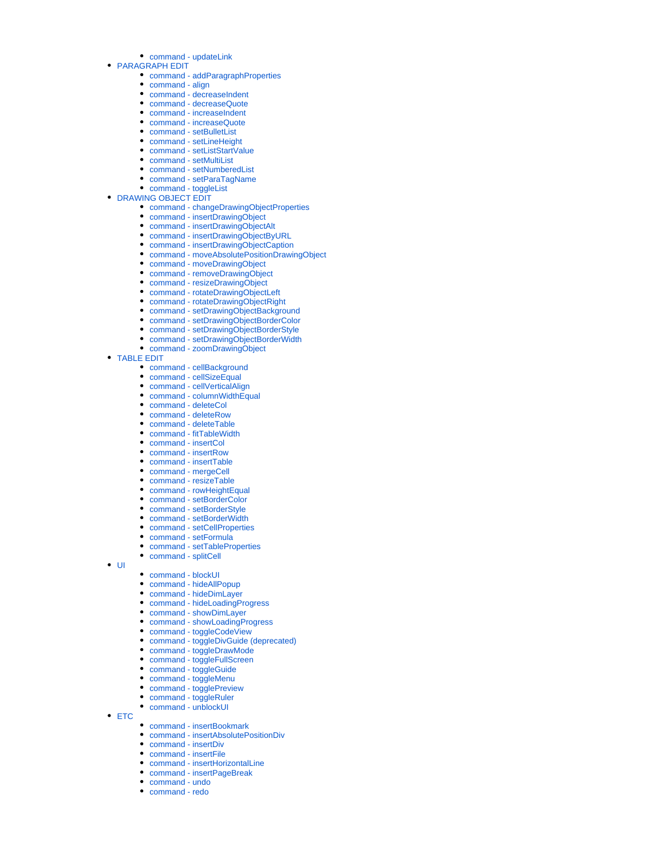- [command updateLink](https://synapeditor.com/docs/display/SEDOC/command+-+updateLink)
- [PARAGRAPH EDIT](https://synapeditor.com/docs/display/SEDOC/PARAGRAPH+EDIT)
	- [command addParagraphProperties](https://synapeditor.com/docs/display/SEDOC/command+-+addParagraphProperties)
	- [command align](https://synapeditor.com/docs/display/SEDOC/command+-+align)
	- [command decreaseIndent](https://synapeditor.com/docs/display/SEDOC/command+-+decreaseIndent)
	- [command decreaseQuote](https://synapeditor.com/docs/display/SEDOC/command+-+decreaseQuote)
	- [command increaseIndent](https://synapeditor.com/docs/display/SEDOC/command+-+increaseIndent)
	- [command increaseQuote](https://synapeditor.com/docs/display/SEDOC/command+-+increaseQuote) • [command - setBulletList](https://synapeditor.com/docs/display/SEDOC/command+-+setBulletList)
	- [command setLineHeight](https://synapeditor.com/docs/display/SEDOC/command+-+setLineHeight)
	- [command setListStartValue](https://synapeditor.com/docs/display/SEDOC/command+-+setListStartValue)
	- [command setMultiList](https://synapeditor.com/docs/display/SEDOC/command+-+setMultiList)
	- [command setNumberedList](https://synapeditor.com/docs/display/SEDOC/command+-+setNumberedList)
	- [command setParaTagName](https://synapeditor.com/docs/display/SEDOC/command+-+setParaTagName)
	- [command toggleList](https://synapeditor.com/docs/display/SEDOC/command+-+toggleList)
- **[DRAWING OBJECT EDIT](https://synapeditor.com/docs/display/SEDOC/DRAWING+OBJECT+EDIT)** 
	- [command changeDrawingObjectProperties](https://synapeditor.com/docs/display/SEDOC/command+-+changeDrawingObjectProperties)
	- [command insertDrawingObject](https://synapeditor.com/docs/display/SEDOC/command+-+insertDrawingObject)
	- [command insertDrawingObjectAlt](https://synapeditor.com/docs/display/SEDOC/command+-+insertDrawingObjectAlt)
	- [command insertDrawingObjectByURL](https://synapeditor.com/docs/display/SEDOC/command+-+insertDrawingObjectByURL)
	- [command insertDrawingObjectCaption](https://synapeditor.com/docs/display/SEDOC/command+-+insertDrawingObjectCaption)
	- [command moveAbsolutePositionDrawingObject](https://synapeditor.com/docs/display/SEDOC/command+-+moveAbsolutePositionDrawingObject)
	- [command moveDrawingObject](https://synapeditor.com/docs/display/SEDOC/command+-+moveDrawingObject)
	- [command removeDrawingObject](https://synapeditor.com/docs/display/SEDOC/command+-+removeDrawingObject)
	- [command resizeDrawingObject](https://synapeditor.com/docs/display/SEDOC/command+-+resizeDrawingObject)
	- [command rotateDrawingObjectLeft](https://synapeditor.com/docs/display/SEDOC/command+-+rotateDrawingObjectLeft)
	- [command rotateDrawingObjectRight](https://synapeditor.com/docs/display/SEDOC/command+-+rotateDrawingObjectRight)
	- [command setDrawingObjectBackground](https://synapeditor.com/docs/display/SEDOC/command+-+setDrawingObjectBackground)
	- [command setDrawingObjectBorderColor](https://synapeditor.com/docs/display/SEDOC/command+-+setDrawingObjectBorderColor)
	- [command setDrawingObjectBorderStyle](https://synapeditor.com/docs/display/SEDOC/command+-+setDrawingObjectBorderStyle)
	- [command setDrawingObjectBorderWidth](https://synapeditor.com/docs/display/SEDOC/command+-+setDrawingObjectBorderWidth)
	- [command zoomDrawingObject](https://synapeditor.com/docs/display/SEDOC/command+-+zoomDrawingObject)
- [TABLE EDIT](https://synapeditor.com/docs/display/SEDOC/TABLE+EDIT)
	- [command cellBackground](https://synapeditor.com/docs/display/SEDOC/command+-+cellBackground)
	- [command cellSizeEqual](https://synapeditor.com/docs/display/SEDOC/command+-+cellSizeEqual)
	- [command cellVerticalAlign](https://synapeditor.com/docs/display/SEDOC/command+-+cellVerticalAlign)
	- [command columnWidthEqual](https://synapeditor.com/docs/display/SEDOC/command+-+columnWidthEqual)
	- [command deleteCol](https://synapeditor.com/docs/display/SEDOC/command+-+deleteCol)
	- [command deleteRow](https://synapeditor.com/docs/display/SEDOC/command+-+deleteRow)
	- [command deleteTable](https://synapeditor.com/docs/display/SEDOC/command+-+deleteTable)
	- [command fitTableWidth](https://synapeditor.com/docs/display/SEDOC/command+-+fitTableWidth)
	- [command insertCol](https://synapeditor.com/docs/display/SEDOC/command+-+insertCol)
	- [command insertRow](https://synapeditor.com/docs/display/SEDOC/command+-+insertRow)
	- [command insertTable](https://synapeditor.com/docs/display/SEDOC/command+-+insertTable)
	- [command mergeCell](https://synapeditor.com/docs/display/SEDOC/command+-+mergeCell)
	- [command resizeTable](https://synapeditor.com/docs/display/SEDOC/command+-+resizeTable)
	- [command rowHeightEqual](https://synapeditor.com/docs/display/SEDOC/command+-+rowHeightEqual)
	- [command setBorderColor](https://synapeditor.com/docs/display/SEDOC/command+-+setBorderColor)
	- [command setBorderStyle](https://synapeditor.com/docs/display/SEDOC/command+-+setBorderStyle)
	- [command setBorderWidth](https://synapeditor.com/docs/display/SEDOC/command+-+setBorderWidth)
	- [command setCellProperties](https://synapeditor.com/docs/display/SEDOC/command+-+setCellProperties)
	- [command setFormula](https://synapeditor.com/docs/display/SEDOC/command+-+setFormula)
	- [command setTableProperties](https://synapeditor.com/docs/display/SEDOC/command+-+setTableProperties)
	- [command splitCell](https://synapeditor.com/docs/display/SEDOC/command+-+splitCell)

 $\bullet$  [UI](https://synapeditor.com/docs/display/SEDOC/UI)

- [command blockUI](https://synapeditor.com/docs/display/SEDOC/command+-+blockUI)
- [command hideAllPopup](https://synapeditor.com/docs/display/SEDOC/command+-+hideAllPopup)
- [command hideDimLayer](https://synapeditor.com/docs/display/SEDOC/command+-+hideDimLayer)
- [command hideLoadingProgress](https://synapeditor.com/docs/display/SEDOC/command+-+hideLoadingProgress)
- [command showDimLayer](https://synapeditor.com/docs/display/SEDOC/command+-+showDimLayer)
- [command showLoadingProgress](https://synapeditor.com/docs/display/SEDOC/command+-+showLoadingProgress)
- [command toggleCodeView](https://synapeditor.com/docs/display/SEDOC/command+-+toggleCodeView)
- 
- [command toggleDivGuide \(deprecated\)](https://synapeditor.com/docs/pages/viewpage.action?pageId=22381922) • [command - toggleDrawMode](https://synapeditor.com/docs/display/SEDOC/command+-+toggleDrawMode)
- 
- [command toggleFullScreen](https://synapeditor.com/docs/display/SEDOC/command+-+toggleFullScreen)
- [command toggleGuide](https://synapeditor.com/docs/display/SEDOC/command+-+toggleGuide)
- [command toggleMenu](https://synapeditor.com/docs/display/SEDOC/command+-+toggleMenu)
- [command togglePreview](https://synapeditor.com/docs/display/SEDOC/command+-+togglePreview)
- [command toggleRuler](https://synapeditor.com/docs/display/SEDOC/command+-+toggleRuler)
- [command unblockUI](https://synapeditor.com/docs/display/SEDOC/command+-+unblockUI)
- $\cdot$  [ETC](https://synapeditor.com/docs/display/SEDOC/ETC)
	- [command insertBookmark](https://synapeditor.com/docs/display/SEDOC/command+-+insertBookmark)
	- [command insertAbsolutePositionDiv](https://synapeditor.com/docs/display/SEDOC/command+-+insertAbsolutePositionDiv)
	- [command insertDiv](https://synapeditor.com/docs/display/SEDOC/command+-+insertDiv)
	- [command insertFile](https://synapeditor.com/docs/display/SEDOC/command+-+insertFile)
	- [command insertHorizontalLine](https://synapeditor.com/docs/display/SEDOC/command+-+insertHorizontalLine)
	- [command insertPageBreak](https://synapeditor.com/docs/display/SEDOC/command+-+insertPageBreak)
	- [command undo](https://synapeditor.com/docs/display/SEDOC/command+-+undo)
	- [command redo](https://synapeditor.com/docs/display/SEDOC/command+-+redo)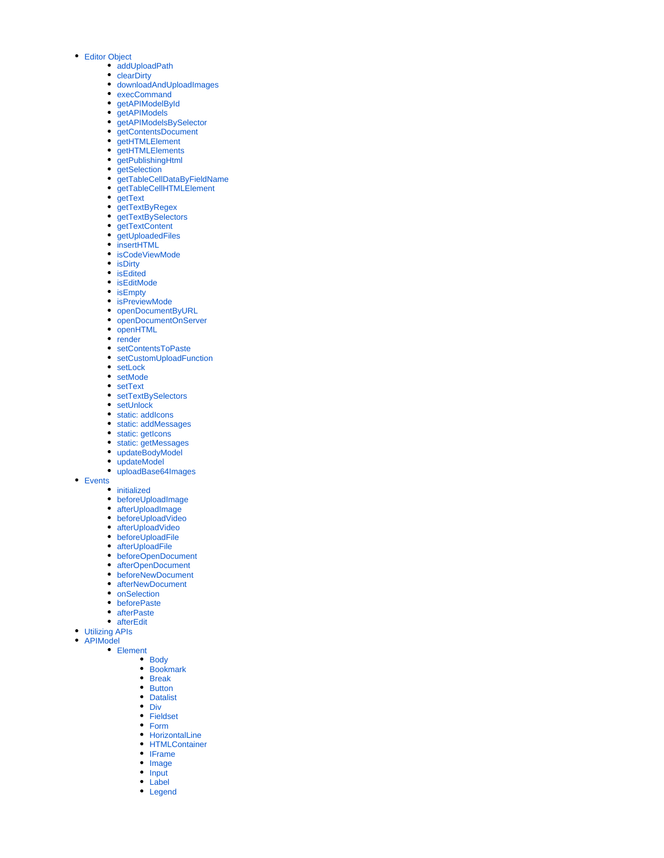- [Editor Object](https://synapeditor.com/docs/display/SEDOC/Editor+Object)
	- [addUploadPath](https://synapeditor.com/docs/display/SEDOC/addUploadPath)
	- **[clearDirty](https://synapeditor.com/docs/display/SEDOC/clearDirty)**
	- [downloadAndUploadImages](https://synapeditor.com/docs/display/SEDOC/downloadAndUploadImages)
	- [execCommand](https://synapeditor.com/docs/display/SEDOC/execCommand)
	- qetAPIModelById
	- [getAPIModels](https://synapeditor.com/docs/display/SEDOC/getAPIModels)
	- [getAPIModelsBySelector](https://synapeditor.com/docs/display/SEDOC/getAPIModelsBySelector) [getContentsDocument](https://synapeditor.com/docs/display/SEDOC/getContentsDocument)
	- **[getHTMLElement](https://synapeditor.com/docs/display/SEDOC/getHTMLElement)**
	-
	- [getHTMLElements](https://synapeditor.com/docs/display/SEDOC/getHTMLElements) [getPublishingHtml](https://synapeditor.com/docs/display/SEDOC/getPublishingHtml)
	- qetSelection
	- [getTableCellDataByFieldName](https://synapeditor.com/docs/display/SEDOC/getTableCellDataByFieldName)
	- [getTableCellHTMLElement](https://synapeditor.com/docs/display/SEDOC/getTableCellHTMLElement)
	- [getText](https://synapeditor.com/docs/display/SEDOC/getText)
	- $\bullet$ [getTextByRegex](https://synapeditor.com/docs/display/SEDOC/getTextByRegex)
	- [getTextBySelectors](https://synapeditor.com/docs/display/SEDOC/getTextBySelectors)
	- [getTextContent](https://synapeditor.com/docs/display/SEDOC/getTextContent)
	- [getUploadedFiles](https://synapeditor.com/docs/display/SEDOC/getUploadedFiles)  $\bullet$
	- [insertHTML](https://synapeditor.com/docs/display/SEDOC/insertHTML)
	- [isCodeViewMode](https://synapeditor.com/docs/display/SEDOC/isCodeViewMode)
	- [isDirty](https://synapeditor.com/docs/display/SEDOC/isDirty)  $\bullet$
	- [isEdited](https://synapeditor.com/docs/display/SEDOC/isEdited)
	- [isEditMode](https://synapeditor.com/docs/display/SEDOC/isEditMode)
	- $\bullet$  is Empty
	- [isPreviewMode](https://synapeditor.com/docs/display/SEDOC/isPreviewMode)
	- [openDocumentByURL](https://synapeditor.com/docs/display/SEDOC/openDocumentByURL)
	- [openDocumentOnServer](https://synapeditor.com/docs/display/SEDOC/openDocumentOnServer)
	- [openHTML](https://synapeditor.com/docs/display/SEDOC/openHTML)
	-
	- $\bullet$  [render](https://synapeditor.com/docs/display/SEDOC/render)
	- [setContentsToPaste](https://synapeditor.com/docs/display/SEDOC/setContentsToPaste)
	- [setCustomUploadFunction](https://synapeditor.com/docs/display/SEDOC/setCustomUploadFunction)
	- [setLock](https://synapeditor.com/docs/display/SEDOC/setLock)
	- [setMode](https://synapeditor.com/docs/display/SEDOC/setMode)
	- [setText](https://synapeditor.com/docs/display/SEDOC/setText)
	- [setTextBySelectors](https://synapeditor.com/docs/display/SEDOC/setTextBySelectors)
	- [setUnlock](https://synapeditor.com/docs/display/SEDOC/setUnlock)
	- [static: addIcons](https://synapeditor.com/docs/display/SEDOC/static%3A+addIcons)
	- [static: addMessages](https://synapeditor.com/docs/display/SEDOC/static%3A+addMessages)
	- [static: getIcons](https://synapeditor.com/docs/display/SEDOC/static%3A+getIcons)
	- [static: getMessages](https://synapeditor.com/docs/display/SEDOC/static%3A+getMessages)
	- [updateBodyModel](https://synapeditor.com/docs/display/SEDOC/updateBodyModel)
	- [updateModel](https://synapeditor.com/docs/display/SEDOC/updateModel)
	- [uploadBase64Images](https://synapeditor.com/docs/display/SEDOC/uploadBase64Images)
- [Events](https://synapeditor.com/docs/display/SEDOC/Events)

**•** [initialized](https://synapeditor.com/docs/display/SEDOC/initialized)

- [beforeUploadImage](https://synapeditor.com/docs/display/SEDOC/beforeUploadImage)
- [afterUploadImage](https://synapeditor.com/docs/display/SEDOC/afterUploadImage)
- [beforeUploadVideo](https://synapeditor.com/docs/display/SEDOC/beforeUploadVideo)
- [afterUploadVideo](https://synapeditor.com/docs/display/SEDOC/afterUploadVideo)
- [beforeUploadFile](https://synapeditor.com/docs/display/SEDOC/beforeUploadFile)
- [afterUploadFile](https://synapeditor.com/docs/display/SEDOC/afterUploadFile)
- [beforeOpenDocument](https://synapeditor.com/docs/display/SEDOC/beforeOpenDocument)
- [afterOpenDocument](https://synapeditor.com/docs/display/SEDOC/afterOpenDocument)
- [beforeNewDocument](https://synapeditor.com/docs/display/SEDOC/beforeNewDocument)
- [afterNewDocument](https://synapeditor.com/docs/display/SEDOC/afterNewDocument)
- [onSelection](https://synapeditor.com/docs/display/SEDOC/onSelection)
- [beforePaste](https://synapeditor.com/docs/display/SEDOC/beforePaste)
- [afterPaste](https://synapeditor.com/docs/display/SEDOC/afterPaste)
- [afterEdit](https://synapeditor.com/docs/display/SEDOC/afterEdit)
- 
- [Utilizing APIs](https://synapeditor.com/docs/display/SEDOC/Utilizing+APIs)  $\bullet$ 
	- [APIModel](https://synapeditor.com/docs/display/SEDOC/APIModel)
		- [Element](https://synapeditor.com/docs/display/SEDOC/Element)
			- [Body](https://synapeditor.com/docs/display/SEDOC/Body)
			- $\bullet$ **[Bookmark](https://synapeditor.com/docs/display/SEDOC/Bookmark)**  $\bullet$
			- [Break](https://synapeditor.com/docs/display/SEDOC/Break)
			- $\bullet$ **[Button](https://synapeditor.com/docs/display/SEDOC/Button)**
			- [Datalist](https://synapeditor.com/docs/display/SEDOC/Datalist)  $\bullet$
			- $\bullet$ [Div](https://synapeditor.com/docs/display/SEDOC/Div)
			- $\bullet$ [Fieldset](https://synapeditor.com/docs/display/SEDOC/Fieldset)
			- $\bullet$ [Form](https://synapeditor.com/docs/display/SEDOC/Form)
			- $\bullet$ **[HorizontalLine](https://synapeditor.com/docs/display/SEDOC/HorizontalLine)**
			- $\bullet$ **[HTMLContainer](https://synapeditor.com/docs/display/SEDOC/HTMLContainer)**
			- $\bullet$ [IFrame](https://synapeditor.com/docs/display/SEDOC/IFrame)
			- $\bullet$ [Image](https://synapeditor.com/docs/display/SEDOC/Image)
			- $\bullet$ [Input](https://synapeditor.com/docs/display/SEDOC/Input)
			- [Label](https://synapeditor.com/docs/display/SEDOC/Label)
			- [Legend](https://synapeditor.com/docs/display/SEDOC/Legend)